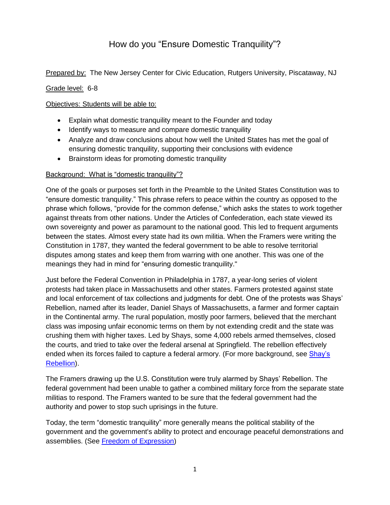# How do you "Ensure Domestic Tranquility"?

Prepared by: The New Jersey Center for Civic Education, Rutgers University, Piscataway, NJ

Grade level: 6-8

#### Objectives: Students will be able to:

- Explain what domestic tranquility meant to the Founder and today
- Identify ways to measure and compare domestic tranquility
- Analyze and draw conclusions about how well the United States has met the goal of ensuring domestic tranquility, supporting their conclusions with evidence
- Brainstorm ideas for promoting domestic tranquility

#### Background: What is "domestic tranquility"?

One of the goals or purposes set forth in the Preamble to the United States Constitution was to "ensure domestic tranquility." This phrase refers to peace within the country as opposed to the phrase which follows, "provide for the common defense," which asks the states to work together against threats from other nations. Under the Articles of Confederation, each state viewed its own sovereignty and power as paramount to the national good. This led to frequent arguments between the states. Almost every state had its own militia. When the Framers were writing the Constitution in 1787, they wanted the federal government to be able to resolve territorial disputes among states and keep them from warring with one another. This was one of the meanings they had in mind for "ensuring domestic tranquility."

Just before the Federal Convention in Philadelphia in 1787, a year-long series of violent protests had taken place in Massachusetts and other states. Farmers protested against state and local enforcement of tax collections and judgments for debt. One of the protests was Shays' Rebellion, named after its leader, Daniel Shays of Massachusetts, a farmer and former captain in the Continental army. The rural population, mostly poor farmers, believed that the merchant class was imposing unfair economic terms on them by not extending credit and the state was crushing them with higher taxes. Led by Shays, some 4,000 rebels armed themselves, closed the courts, and tried to take over the federal arsenal at Springfield. The rebellion effectively ended when its forces failed to capture a federal armory. (For more background, see Shay's [Rebellion\)](https://www.history.com/topics/early-us/shays-rebellion).

The Framers drawing up the U.S. Constitution were truly alarmed by Shays' Rebellion. The federal government had been unable to gather a combined military force from the separate state militias to respond. The Framers wanted to be sure that the federal government had the authority and power to stop such uprisings in the future.

Today, the term "domestic tranquility" more generally means the political stability of the government and the government's ability to protect and encourage peaceful demonstrations and assemblies. (See [Freedom of Expression\)](https://civiced.rutgers.edu/documents/civics/middle-school-civics/american-ideals/96-freedom-of-expression)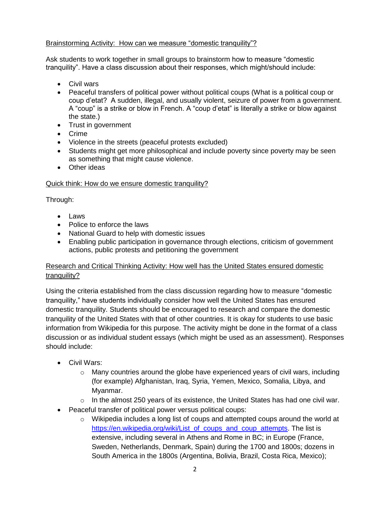### Brainstorming Activity: How can we measure "domestic tranquility"?

Ask students to work together in small groups to brainstorm how to measure "domestic tranquility". Have a class discussion about their responses, which might/should include:

- Civil wars
- Peaceful transfers of political power without political coups (What is a political coup or coup d'etat? A sudden, illegal, and usually violent, seizure of power from a government. A "coup" is a strike or blow in French. A "coup d'etat" is literally a strike or blow against the state.)
- Trust in government
- Crime
- Violence in the streets (peaceful protests excluded)
- Students might get more philosophical and include poverty since poverty may be seen as something that might cause violence.
- Other ideas

# Quick think: How do we ensure domestic tranquility?

Through:

- $\bullet$  Laws
- Police to enforce the laws
- National Guard to help with domestic issues
- Enabling public participation in governance through elections, criticism of government actions, public protests and petitioning the government

# Research and Critical Thinking Activity: How well has the United States ensured domestic tranquility?

Using the criteria established from the class discussion regarding how to measure "domestic tranquility," have students individually consider how well the United States has ensured domestic tranquility. Students should be encouraged to research and compare the domestic tranquility of the United States with that of other countries. It is okay for students to use basic information from Wikipedia for this purpose. The activity might be done in the format of a class discussion or as individual student essays (which might be used as an assessment). Responses should include:

- Civil Wars:
	- $\circ$  Many countries around the globe have experienced years of civil wars, including (for example) Afghanistan, Iraq, Syria, Yemen, Mexico, Somalia, Libya, and Myanmar.
	- o In the almost 250 years of its existence, the United States has had one civil war.
- Peaceful transfer of political power versus political coups:
	- $\circ$  Wikipedia includes a long list of coups and attempted coups around the world at [https://en.wikipedia.org/wiki/List\\_of\\_coups\\_and\\_coup\\_attempts.](https://en.wikipedia.org/wiki/List_of_coups_and_coup_attempts) The list is extensive, including several in Athens and Rome in BC; in Europe (France, Sweden, Netherlands, Denmark, Spain) during the 1700 and 1800s; dozens in South America in the 1800s (Argentina, Bolivia, Brazil, Costa Rica, Mexico);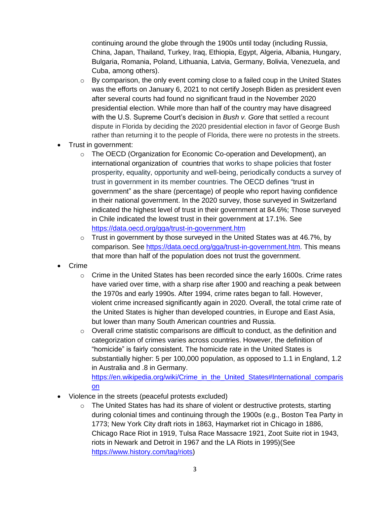continuing around the globe through the 1900s until today (including Russia, China, Japan, Thailand, Turkey, Iraq, Ethiopia, Egypt, Algeria, Albania, Hungary, Bulgaria, Romania, Poland, Lithuania, Latvia, Germany, Bolivia, Venezuela, and Cuba, among others).

- $\circ$  By comparison, the only event coming close to a failed coup in the United States was the efforts on January 6, 2021 to not certify Joseph Biden as president even after several courts had found no significant fraud in the November 2020 presidential election. While more than half of the country may have disagreed with the U.S. Supreme Court's decision in *Bush v. Gore* that settled a recount dispute in Florida by deciding the 2020 presidential election in favor of George Bush rather than returning it to the people of Florida, there were no protests in the streets.
- Trust in government:
	- o The OECD (Organization for Economic Co-operation and Development), an international organization of countries that works to shape policies that foster prosperity, equality, opportunity and well-being, periodically conducts a survey of trust in government in its member countries. The OECD defines "trust in government" as the share (percentage) of people who report having confidence in their national government. In the 2020 survey, those surveyed in Switzerland indicated the highest level of trust in their government at 84.6%; Those surveyed in Chile indicated the lowest trust in their government at 17.1%. See <https://data.oecd.org/gga/trust-in-government.htm>
	- $\circ$  Trust in government by those surveyed in the United States was at 46.7%, by comparison. See [https://data.oecd.org/gga/trust-in-government.htm.](https://data.oecd.org/gga/trust-in-government.htm) This means that more than half of the population does not trust the government.
- Crime
	- $\circ$  Crime in the United States has been recorded since the early 1600s. Crime rates have varied over time, with a sharp rise after 1900 and reaching a peak between the 1970s and early 1990s. After 1994, crime rates began to fall. However, violent crime increased significantly again in 2020. Overall, the total crime rate of the United States is higher than developed countries, in Europe and East Asia, but lower than many South American countries and Russia.
	- $\circ$  Overall crime statistic comparisons are difficult to conduct, as the definition and categorization of crimes varies across countries. However, the definition of "homicide" is fairly consistent. The homicide rate in the United States is substantially higher: 5 per 100,000 population, as opposed to 1.1 in England, 1.2 in Australia and .8 in Germany.

[https://en.wikipedia.org/wiki/Crime\\_in\\_the\\_United\\_States#International\\_comparis](https://en.wikipedia.org/wiki/Crime_in_the_United_States#International_comparison) [on](https://en.wikipedia.org/wiki/Crime_in_the_United_States#International_comparison)

- Violence in the streets (peaceful protests excluded)
	- $\circ$  The United States has had its share of violent or destructive protests, starting during colonial times and continuing through the 1900s (e.g., Boston Tea Party in 1773; New York City draft riots in 1863, Haymarket riot in Chicago in 1886, Chicago Race Riot in 1919, Tulsa Race Massacre 1921, Zoot Suite riot in 1943, riots in Newark and Detroit in 1967 and the LA Riots in 1995)(See [https://www.history.com/tag/riots\)](https://www.history.com/tag/riots)